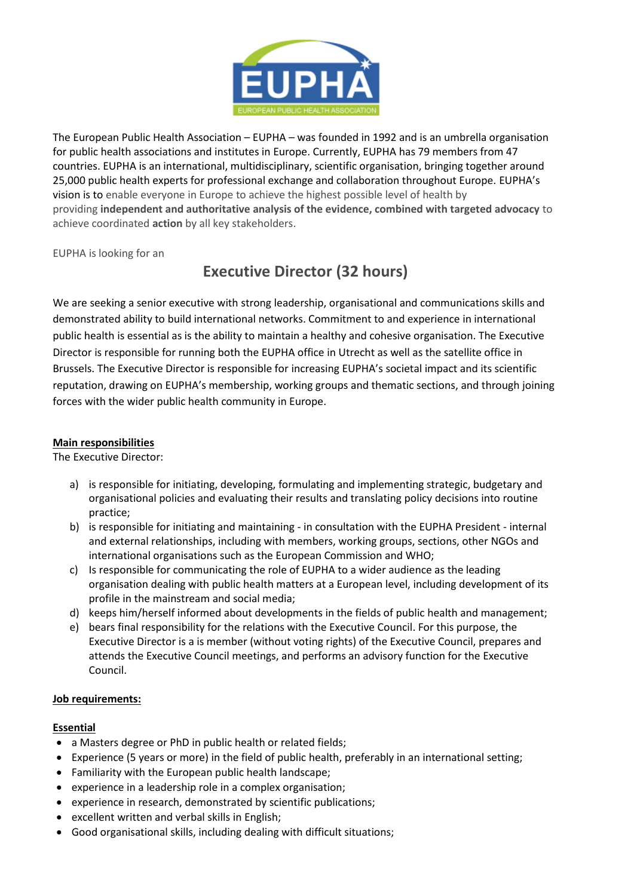

The European Public Health Association – EUPHA – was founded in 1992 and is an umbrella organisation for public health associations and institutes in Europe. Currently, EUPHA has 79 members from 47 countries. EUPHA is an international, multidisciplinary, scientific organisation, bringing together around 25,000 public health experts for professional exchange and collaboration throughout Europe. EUPHA's vision is to enable everyone in Europe to achieve the highest possible level of health by providing **independent and authoritative analysis of the evidence, combined with targeted advocacy** to achieve coordinated **action** by all key stakeholders.

EUPHA is looking for an

# **Executive Director (32 hours)**

We are seeking a senior executive with strong leadership, organisational and communications skills and demonstrated ability to build international networks. Commitment to and experience in international public health is essential as is the ability to maintain a healthy and cohesive organisation. The Executive Director is responsible for running both the EUPHA office in Utrecht as well as the satellite office in Brussels. The Executive Director is responsible for increasing EUPHA's societal impact and its scientific reputation, drawing on EUPHA's membership, working groups and thematic sections, and through joining forces with the wider public health community in Europe.

## **Main responsibilities**

The Executive Director:

- a) is responsible for initiating, developing, formulating and implementing strategic, budgetary and organisational policies and evaluating their results and translating policy decisions into routine practice;
- b) is responsible for initiating and maintaining in consultation with the EUPHA President internal and external relationships, including with members, working groups, sections, other NGOs and international organisations such as the European Commission and WHO;
- c) Is responsible for communicating the role of EUPHA to a wider audience as the leading organisation dealing with public health matters at a European level, including development of its profile in the mainstream and social media;
- d) keeps him/herself informed about developments in the fields of public health and management;
- e) bears final responsibility for the relations with the Executive Council. For this purpose, the Executive Director is a is member (without voting rights) of the Executive Council, prepares and attends the Executive Council meetings, and performs an advisory function for the Executive Council.

#### **Job requirements:**

#### **Essential**

- a Masters degree or PhD in public health or related fields;
- Experience (5 years or more) in the field of public health, preferably in an international setting;
- Familiarity with the European public health landscape;
- experience in a leadership role in a complex organisation;
- experience in research, demonstrated by scientific publications;
- excellent written and verbal skills in English;
- Good organisational skills, including dealing with difficult situations;